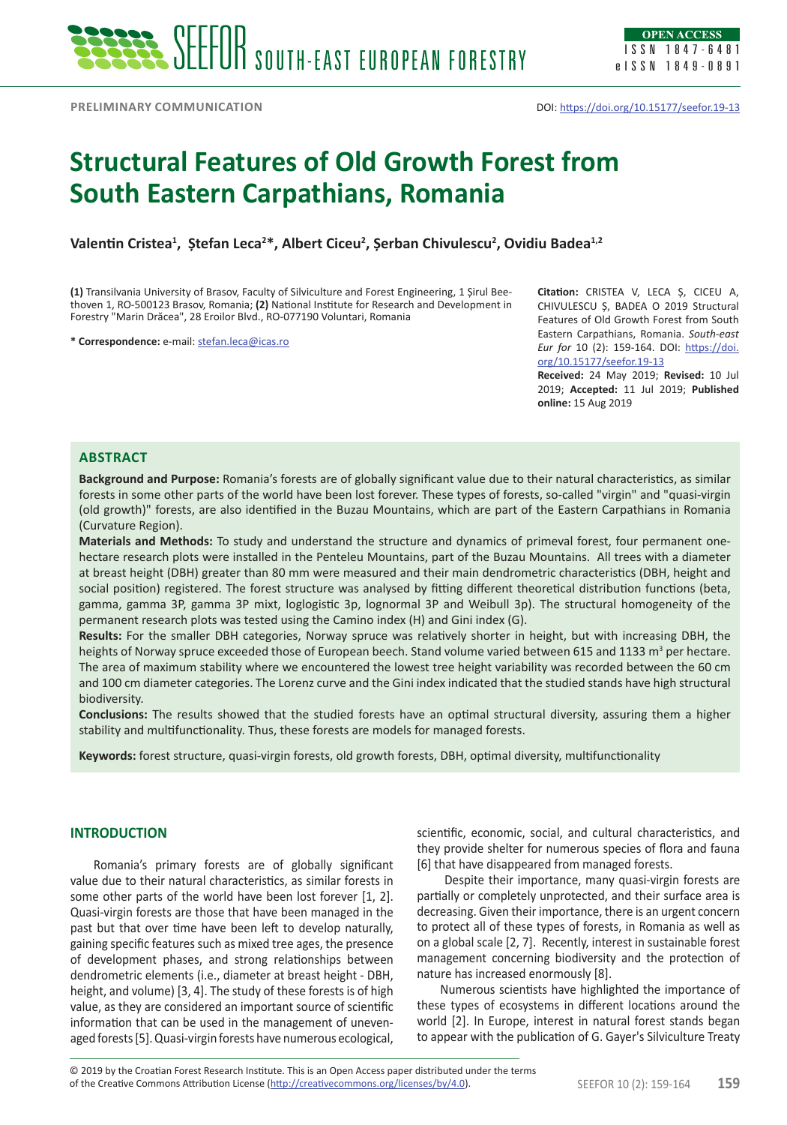# **Structural Features of Old Growth Forest from South Eastern Carpathians, Romania**

**Valentin Cristea<sup>1</sup> , Ștefan Leca<sup>2</sup> \*, Albert Ciceu2 , Șerban Chivulescu<sup>2</sup> , Ovidiu Badea1,2**

**(1)** Transilvania University of Brasov, Faculty of Silviculture and Forest Engineering, 1 Șirul Beethoven 1, RO-500123 Brasov, Romania; **(2)** National Institute for Research and Development in Forestry "Marin Drăcea", 28 Eroilor Blvd., RO-077190 Voluntari, Romania

**\* Correspondence:** e-mail: [stefan.leca@icas.ro](mailto:stefan.leca%40icas.ro?subject=)

**Citation:** CRISTEA V, LECA Ș, CICEU A, CHIVULESCU Ș, BADEA O 2019 Structural Features of Old Growth Forest from South Eastern Carpathians, Romania. *South-east Eur for* 10 (2): 159-164. DOI: [https://doi.](https://doi.org/10.15177/seefor.19-13) [org/10.15177/seefor.19-13](https://doi.org/10.15177/seefor.19-13)

**Received:** 24 May 2019; **Revised:** 10 Jul 2019; **Accepted:** 11 Jul 2019; **Published online:** 15 Aug 2019

# **Abstract**

**Background and Purpose:** Romania's forests are of globally significant value due to their natural characteristics, as similar forests in some other parts of the world have been lost forever. These types of forests, so-called "virgin" and "quasi-virgin (old growth)" forests, are also identified in the Buzau Mountains, which are part of the Eastern Carpathians in Romania (Curvature Region).

**Materials and Methods:** To study and understand the structure and dynamics of primeval forest, four permanent onehectare research plots were installed in the Penteleu Mountains, part of the Buzau Mountains. All trees with a diameter at breast height (DBH) greater than 80 mm were measured and their main dendrometric characteristics (DBH, height and social position) registered. The forest structure was analysed by fitting different theoretical distribution functions (beta, gamma, gamma 3P, gamma 3P mixt, loglogistic 3p, lognormal 3P and Weibull 3p). The structural homogeneity of the permanent research plots was tested using the Camino index (H) and Gini index (G).

**Results:** For the smaller DBH categories, Norway spruce was relatively shorter in height, but with increasing DBH, the heights of Norway spruce exceeded those of European beech. Stand volume varied between 615 and 1133 m<sup>3</sup> per hectare. The area of maximum stability where we encountered the lowest tree height variability was recorded between the 60 cm and 100 cm diameter categories. The Lorenz curve and the Gini index indicated that the studied stands have high structural biodiversity.

**Conclusions:** The results showed that the studied forests have an optimal structural diversity, assuring them a higher stability and multifunctionality. Thus, these forests are models for managed forests.

**Keywords:** forest structure, quasi-virgin forests, old growth forests, DBH, optimal diversity, multifunctionality

#### **INTRODUCTION**

Romania's primary forests are of globally significant value due to their natural characteristics, as similar forests in some other parts of the world have been lost forever [1, 2]. Quasi-virgin forests are those that have been managed in the past but that over time have been left to develop naturally, gaining specific features such as mixed tree ages, the presence of development phases, and strong relationships between dendrometric elements (i.e., diameter at breast height - DBH, height, and volume) [3, 4]. The study of these forests is of high value, as they are considered an important source of scientific information that can be used in the management of unevenaged forests [5]. Quasi-virgin forests have numerous ecological,

scientific, economic, social, and cultural characteristics, and they provide shelter for numerous species of flora and fauna [6] that have disappeared from managed forests.

 Despite their importance, many quasi-virgin forests are partially or completely unprotected, and their surface area is decreasing. Given their importance, there is an urgent concern to protect all of these types of forests, in Romania as well as on a global scale [2, 7]. Recently, interest in sustainable forest management concerning biodiversity and the protection of nature has increased enormously [8].

Numerous scientists have highlighted the importance of these types of ecosystems in different locations around the world [2]. In Europe, interest in natural forest stands began to appear with the publication of G. Gayer's Silviculture Treaty

of the Creative Commons Attribution License (<http://creativecommons.org/licenses/by/4.0>). SEEFOR 10 (2): 159-164 **159** © 2019 by the Croatian Forest Research Institute. This is an Open Access paper distributed under the terms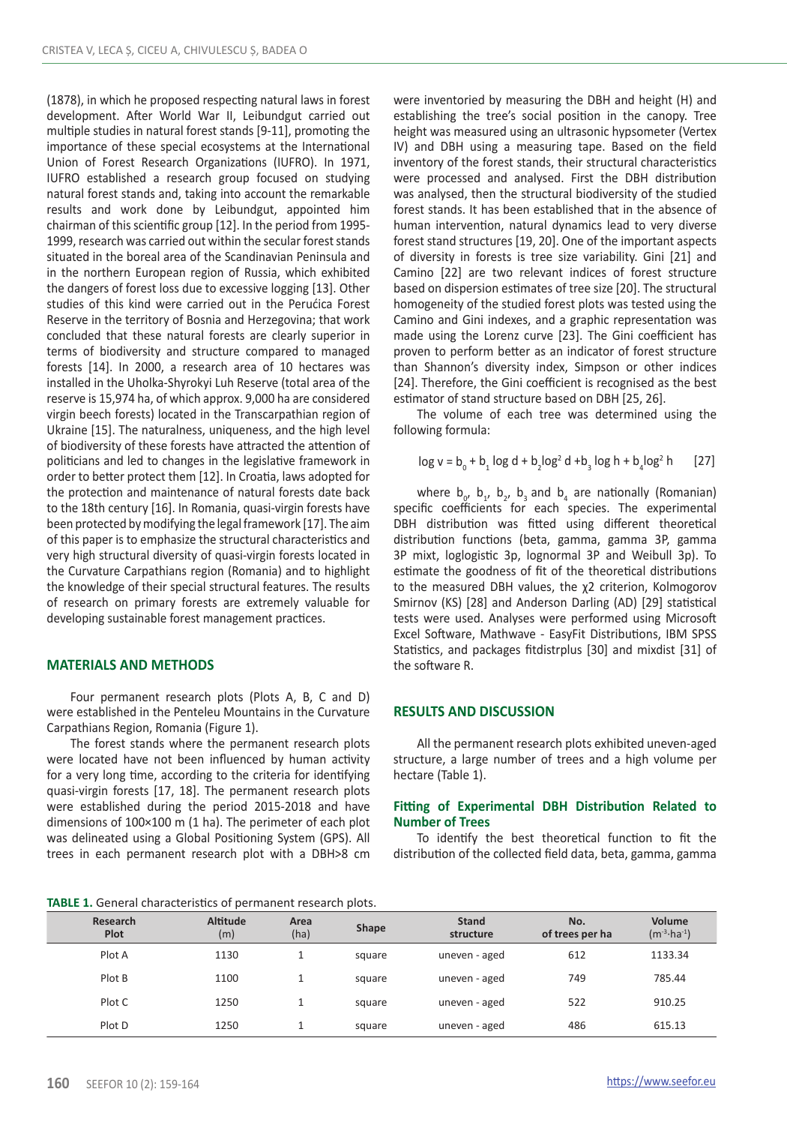(1878), in which he proposed respecting natural laws in forest development. After World War II, Leibundgut carried out multiple studies in natural forest stands [9-11], promoting the importance of these special ecosystems at the International Union of Forest Research Organizations (IUFRO). In 1971, IUFRO established a research group focused on studying natural forest stands and, taking into account the remarkable results and work done by Leibundgut, appointed him chairman of this scientific group [12]. In the period from 1995- 1999, research was carried out within the secular forest stands situated in the boreal area of the Scandinavian Peninsula and in the northern European region of Russia, which exhibited the dangers of forest loss due to excessive logging [13]. Other studies of this kind were carried out in the Perućica Forest Reserve in the territory of Bosnia and Herzegovina; that work concluded that these natural forests are clearly superior in terms of biodiversity and structure compared to managed forests [14]. In 2000, a research area of 10 hectares was installed in the Uholka-Shyrokyi Luh Reserve (total area of the reserve is 15,974 ha, of which approx. 9,000 ha are considered virgin beech forests) located in the Transcarpathian region of Ukraine [15]. The naturalness, uniqueness, and the high level of biodiversity of these forests have attracted the attention of politicians and led to changes in the legislative framework in order to better protect them [12]. In Croatia, laws adopted for the protection and maintenance of natural forests date back to the 18th century [16]. In Romania, quasi-virgin forests have been protected by modifying the legal framework [17]. The aim of this paper is to emphasize the structural characteristics and very high structural diversity of quasi-virgin forests located in the Curvature Carpathians region (Romania) and to highlight the knowledge of their special structural features. The results of research on primary forests are extremely valuable for developing sustainable forest management practices.

# **MATERIALS AND METHODS**

Four permanent research plots (Plots A, B, C and D) were established in the Penteleu Mountains in the Curvature Carpathians Region, Romania (Figure 1).

The forest stands where the permanent research plots were located have not been influenced by human activity for a very long time, according to the criteria for identifying quasi-virgin forests [17, 18]. The permanent research plots were established during the period 2015-2018 and have dimensions of 100×100 m (1 ha). The perimeter of each plot was delineated using a Global Positioning System (GPS). All trees in each permanent research plot with a DBH>8 cm were inventoried by measuring the DBH and height (H) and establishing the tree's social position in the canopy. Tree height was measured using an ultrasonic hypsometer (Vertex IV) and DBH using a measuring tape. Based on the field inventory of the forest stands, their structural characteristics were processed and analysed. First the DBH distribution was analysed, then the structural biodiversity of the studied forest stands. It has been established that in the absence of human intervention, natural dynamics lead to very diverse forest stand structures [19, 20]. One of the important aspects of diversity in forests is tree size variability. Gini [21] and Camino [22] are two relevant indices of forest structure based on dispersion estimates of tree size [20]. The structural homogeneity of the studied forest plots was tested using the Camino and Gini indexes, and a graphic representation was made using the Lorenz curve [23]. The Gini coefficient has proven to perform better as an indicator of forest structure than Shannon's diversity index, Simpson or other indices [24]. Therefore, the Gini coefficient is recognised as the best estimator of stand structure based on DBH [25, 26].

The volume of each tree was determined using the following formula:

$$
\log v = b_0 + b_1 \log d + b_2 \log^2 d + b_3 \log h + b_4 \log^2 h
$$
 [27]

where  $b_0$ ,  $b_1$ ,  $b_2$ ,  $b_3$  and  $b_4$  are nationally (Romanian) specific coefficients for each species. The experimental DBH distribution was fitted using different theoretical distribution functions (beta, gamma, gamma 3P, gamma 3P mixt, loglogistic 3p, lognormal 3P and Weibull 3p). To estimate the goodness of fit of the theoretical distributions to the measured DBH values, the χ2 criterion, Kolmogorov Smirnov (KS) [28] and Anderson Darling (AD) [29] statistical tests were used. Analyses were performed using Microsoft Excel Software, Mathwave - EasyFit Distributions, IBM SPSS Statistics, and packages fitdistrplus [30] and mixdist [31] of the software R.

## **RESULTS AND DISCUSSION**

All the permanent research plots exhibited uneven-aged structure, a large number of trees and a high volume per hectare (Table 1).

#### **Fitting of Experimental DBH Distribution Related to Number of Trees**

To identify the best theoretical function to fit the distribution of the collected field data, beta, gamma, gamma

**TABLE 1.** General characteristics of permanent research plots.

| Research<br>Plot | <b>Altitude</b><br>(m) | Area<br>(ha) | Shape  | <b>Stand</b><br>structure | No.<br>of trees per ha | Volume<br>$(m^{-3} \cdot ha^{-1})$ |  |
|------------------|------------------------|--------------|--------|---------------------------|------------------------|------------------------------------|--|
| Plot A           | 1130                   |              | square | uneven - aged             | 612                    | 1133.34                            |  |
| Plot B           | 1100                   |              | square | uneven - aged             | 749                    | 785.44                             |  |
| Plot C           | 1250                   |              | square | uneven - aged             | 522                    | 910.25                             |  |
| Plot D           | 1250                   |              | square | uneven - aged             | 486                    | 615.13                             |  |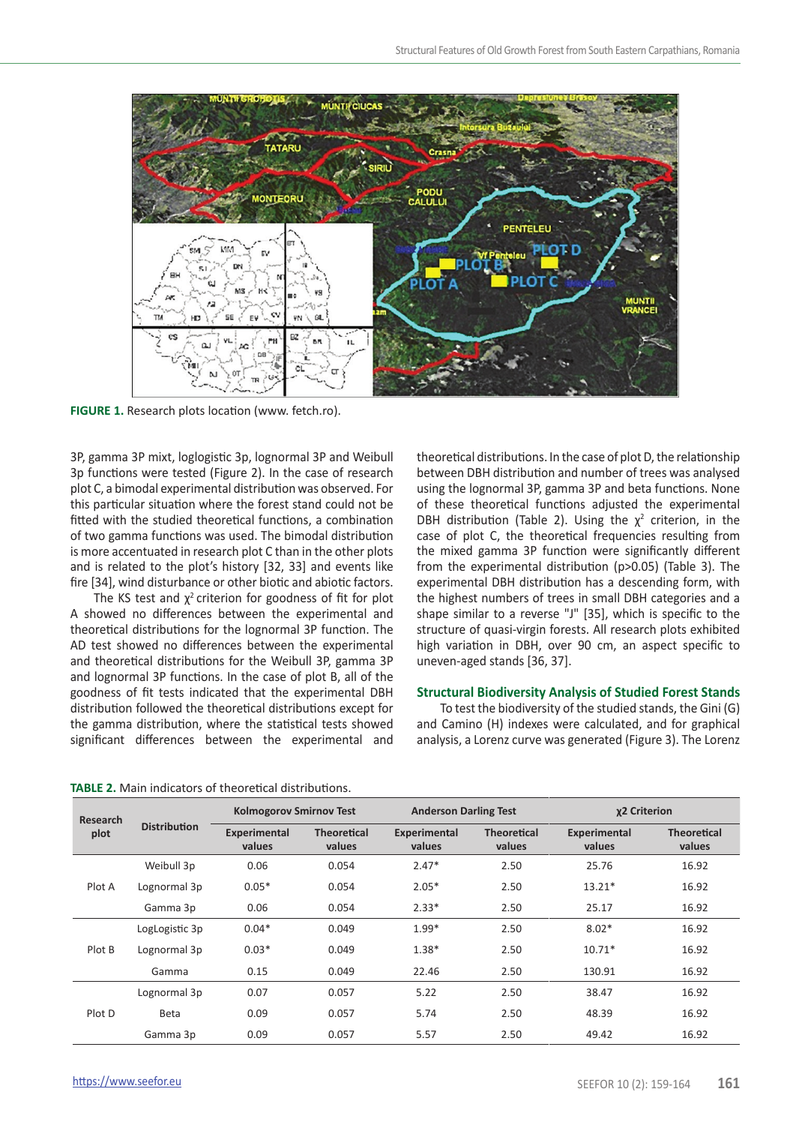

**FIGURE 1.** Research plots location (www. fetch.ro).

3P, gamma 3P mixt, loglogistic 3p, lognormal 3P and Weibull 3p functions were tested (Figure 2). In the case of research plot C, a bimodal experimental distribution was observed. For this particular situation where the forest stand could not be fitted with the studied theoretical functions, a combination of two gamma functions was used. The bimodal distribution is more accentuated in research plot C than in the other plots and is related to the plot's history [32, 33] and events like fire [34], wind disturbance or other biotic and abiotic factors.

The KS test and  $\chi^2$  criterion for goodness of fit for plot A showed no differences between the experimental and theoretical distributions for the lognormal 3P function. The AD test showed no differences between the experimental and theoretical distributions for the Weibull 3P, gamma 3P and lognormal 3P functions. In the case of plot B, all of the goodness of fit tests indicated that the experimental DBH distribution followed the theoretical distributions except for the gamma distribution, where the statistical tests showed significant differences between the experimental and

theoretical distributions. In the case of plot D, the relationship between DBH distribution and number of trees was analysed using the lognormal 3P, gamma 3P and beta functions. None of these theoretical functions adjusted the experimental DBH distribution (Table 2). Using the  $\chi^2$  criterion, in the case of plot C, the theoretical frequencies resulting from the mixed gamma 3P function were significantly different from the experimental distribution (p>0.05) (Table 3). The experimental DBH distribution has a descending form, with the highest numbers of trees in small DBH categories and a shape similar to a reverse "J" [35], which is specific to the structure of quasi-virgin forests. All research plots exhibited high variation in DBH, over 90 cm, an aspect specific to uneven-aged stands [36, 37].

## **Structural Biodiversity Analysis of Studied Forest Stands**

To test the biodiversity of the studied stands, the Gini (G) and Camino (H) indexes were calculated, and for graphical analysis, a Lorenz curve was generated (Figure 3). The Lorenz

**TABLE 2.** Main indicators of theoretical distributions.

| Research<br>plot | <b>Distribution</b> | <b>Kolmogorov Smirnov Test</b> |                              | <b>Anderson Darling Test</b> |                              | χ2 Criterion           |                              |
|------------------|---------------------|--------------------------------|------------------------------|------------------------------|------------------------------|------------------------|------------------------------|
|                  |                     | Experimental<br>values         | <b>Theoretical</b><br>values | Experimental<br>values       | <b>Theoretical</b><br>values | Experimental<br>values | <b>Theoretical</b><br>values |
| Plot A           | Weibull 3p          | 0.06                           | 0.054                        | $2.47*$                      | 2.50                         | 25.76                  | 16.92                        |
|                  | Lognormal 3p        | $0.05*$                        | 0.054                        | $2.05*$                      | 2.50                         | $13.21*$               | 16.92                        |
|                  | Gamma 3p            | 0.06                           | 0.054                        | $2.33*$                      | 2.50                         | 25.17                  | 16.92                        |
| Plot B           | LogLogistic 3p      | $0.04*$                        | 0.049                        | $1.99*$                      | 2.50                         | $8.02*$                | 16.92                        |
|                  | Lognormal 3p        | $0.03*$                        | 0.049                        | $1.38*$                      | 2.50                         | $10.71*$               | 16.92                        |
|                  | Gamma               | 0.15                           | 0.049                        | 22.46                        | 2.50                         | 130.91                 | 16.92                        |
| Plot D           | Lognormal 3p        | 0.07                           | 0.057                        | 5.22                         | 2.50                         | 38.47                  | 16.92                        |
|                  | Beta                | 0.09                           | 0.057                        | 5.74                         | 2.50                         | 48.39                  | 16.92                        |
|                  | Gamma 3p            | 0.09                           | 0.057                        | 5.57                         | 2.50                         | 49.42                  | 16.92                        |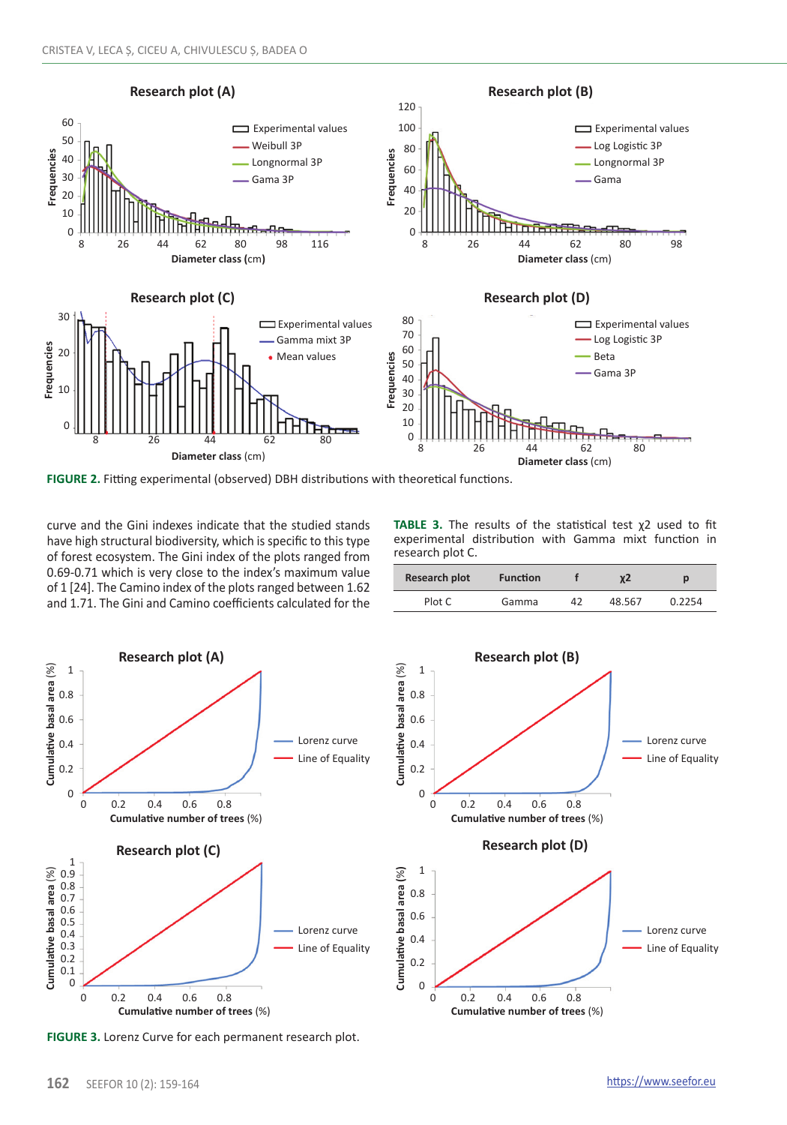

**FIGURE 2.** Fitting experimental (observed) DBH distributions with theoretical functions.

curve and the Gini indexes indicate that the studied stands have high structural biodiversity, which is specific to this type of forest ecosystem. The Gini index of the plots ranged from 0.69-0.71 which is very close to the index's maximum value of 1 [24]. The Camino index of the plots ranged between 1.62 and 1.71. The Gini and Camino coefficients calculated for the

**TABLE 3.** The results of the statistical test χ2 used to fit experimental distribution with Gamma mixt function in research plot C.

| <b>Research plot</b> | <b>Function</b> |    | χ2     | D      |  |
|----------------------|-----------------|----|--------|--------|--|
| Plot C               | Gamma           | 42 | 48.567 | 0.2254 |  |



**FIGURE 3.** Lorenz Curve for each permanent research plot.

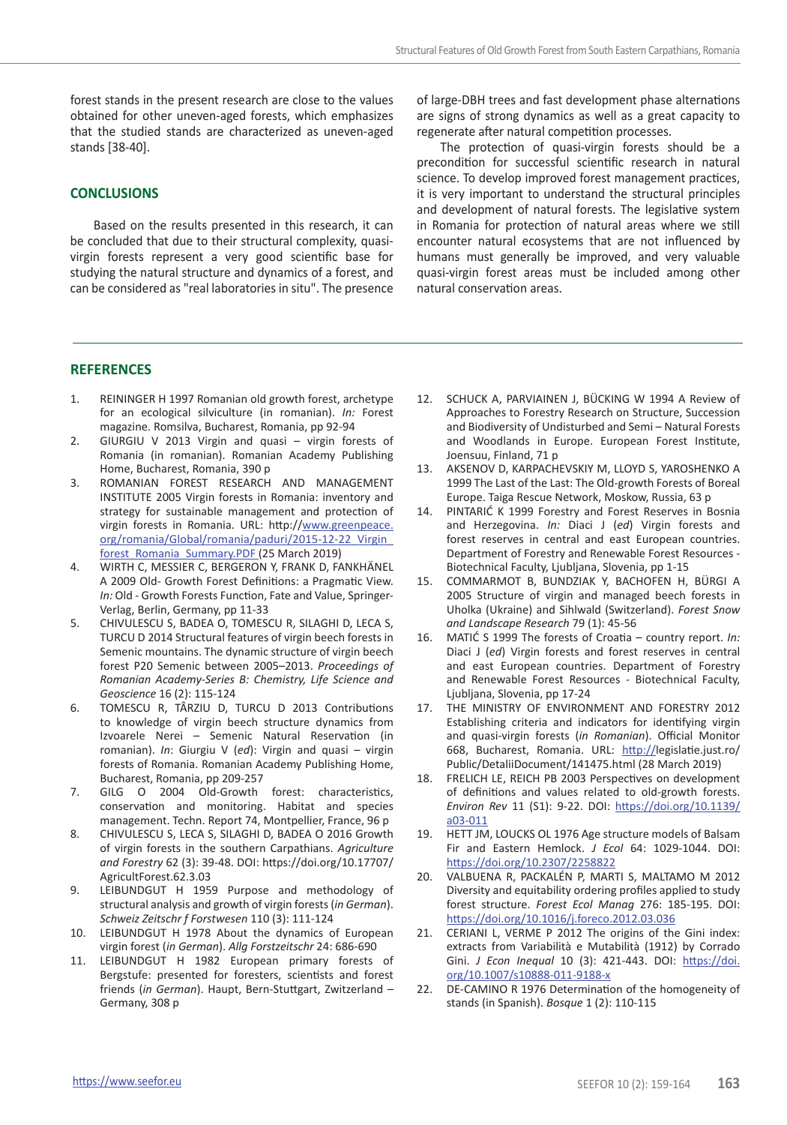forest stands in the present research are close to the values obtained for other uneven-aged forests, which emphasizes that the studied stands are characterized as uneven-aged stands [38-40].

#### **CONCLUSIONS**

Based on the results presented in this research, it can be concluded that due to their structural complexity, quasivirgin forests represent a very good scientific base for studying the natural structure and dynamics of a forest, and can be considered as "real laboratories in situ". The presence

## **REFERENCES**

- 1. REININGER H 1997 Romanian old growth forest, archetype for an ecological silviculture (in romanian). *In:* Forest magazine. Romsilva, Bucharest, Romania, pp 92-94
- 2. GIURGIU V 2013 Virgin and quasi virgin forests of Romania (in romanian). Romanian Academy Publishing Home, Bucharest, Romania, 390 p
- 3. ROMANIAN FOREST RESEARCH AND MANAGEMENT INSTITUTE 2005 Virgin forests in Romania: inventory and strategy for sustainable management and protection of virgin forests in Romania. URL: http://[www.greenpeace.](http://www.greenpeace.org/romania/Global/romania/paduri/2015-12-22_Virgin_forest_Romania_Summary.PDF) [org/romania/Global/romania/paduri/2015-12-22\\_Virgin\\_](http://www.greenpeace.org/romania/Global/romania/paduri/2015-12-22_Virgin_forest_Romania_Summary.PDF) [forest\\_Romania\\_Summary.PDF](http://www.greenpeace.org/romania/Global/romania/paduri/2015-12-22_Virgin_forest_Romania_Summary.PDF) (25 March 2019)
- 4. WIRTH C, MESSIER C, BERGERON Y, FRANK D, FANKHÄNEL A 2009 Old- Growth Forest Definitions: a Pragmatic View. *In:* Old - Growth Forests Function, Fate and Value, Springer‐ Verlag, Berlin, Germany, pp 11-33
- 5. CHIVULESCU S, BADEA O, TOMESCU R, SILAGHI D, LECA S, TURCU D 2014 Structural features of virgin beech forests in Semenic mountains. The dynamic structure of virgin beech forest P20 Semenic between 2005–2013. *Proceedings of Romanian Academy-Series B: Chemistry, Life Science and Geoscience* 16 (2): 115-124
- 6. TOMESCU R, TÂRZIU D, TURCU D 2013 Contributions to knowledge of virgin beech structure dynamics from Izvoarele Nerei – Semenic Natural Reservation (in romanian). *In*: Giurgiu V (*ed*): Virgin and quasi – virgin forests of Romania. Romanian Academy Publishing Home, Bucharest, Romania, pp 209-257
- 7. GILG O 2004 Old-Growth forest: characteristics, conservation and monitoring. Habitat and species management. Techn. Report 74, Montpellier, France, 96 p
- 8. CHIVULESCU S, LECA S, SILAGHI D, BADEA O 2016 Growth of virgin forests in the southern Carpathians. *Agriculture and Forestry* 62 (3): 39-48. DOI: https://doi.org/10.17707/ AgricultForest.62.3.03
- 9. LEIBUNDGUT H 1959 Purpose and methodology of structural analysis and growth of virgin forests (*in German*). *Schweiz Zeitschr f Forstwesen* 110 (3): 111-124
- 10. LEIBUNDGUT H 1978 About the dynamics of European virgin forest (*in German*). *Allg Forstzeitschr* 24: 686-690
- 11. LEIBUNDGUT H 1982 European primary forests of Bergstufe: presented for foresters, scientists and forest friends (*in German*). Haupt, Bern-Stuttgart, Zwitzerland – Germany, 308 p

of large-DBH trees and fast development phase alternations are signs of strong dynamics as well as a great capacity to regenerate after natural competition processes.

The protection of quasi-virgin forests should be a precondition for successful scientific research in natural science. To develop improved forest management practices, it is very important to understand the structural principles and development of natural forests. The legislative system in Romania for protection of natural areas where we still encounter natural ecosystems that are not influenced by humans must generally be improved, and very valuable quasi-virgin forest areas must be included among other natural conservation areas.

- 12. SCHUCK A, PARVIAINEN J, BÜCKING W 1994 A Review of Approaches to Forestry Research on Structure, Succession and Biodiversity of Undisturbed and Semi – Natural Forests and Woodlands in Europe. European Forest Institute, Joensuu, Finland, 71 p
- 13. AKSENOV D, KARPACHEVSKIY M, LLOYD S, YAROSHENKO A 1999 The Last of the Last: The Old-growth Forests of Boreal Europe. Taiga Rescue Network, Moskow, Russia, 63 p
- 14. PINTARIĆ K 1999 Forestry and Forest Reserves in Bosnia and Herzegovina. *In:* Diaci J (*ed*) Virgin forests and forest reserves in central and east European countries. Department of Forestry and Renewable Forest Resources - Biotechnical Faculty, Ljubljana, Slovenia, pp 1-15
- 15. COMMARMOT B, BUNDZIAK Y, BACHOFEN H, BÜRGI A 2005 Structure of virgin and managed beech forests in Uholka (Ukraine) and Sihlwald (Switzerland). *Forest Snow and Landscape Research* 79 (1): 45-56
- 16. MATIĆ S 1999 The forests of Croatia country report. *In:* Diaci J (*ed*) Virgin forests and forest reserves in central and east European countries. Department of Forestry and Renewable Forest Resources - Biotechnical Faculty, Ljubljana, Slovenia, pp 17-24
- 17. THE MINISTRY OF ENVIRONMENT AND FORESTRY 2012 Establishing criteria and indicators for identifying virgin and quasi-virgin forests (*in Romanian*). Official Monitor 668, Bucharest, Romania. URL: http://legislatie.just.ro/ Public/DetaliiDocument/141475.html (28 March 2019)
- 18. FRELICH LE, REICH PB 2003 Perspectives on development of definitions and values related to old-growth forests. *Environ Rev* 11 (S1): 9-22. DOI: [https://doi.org/10.1139/](https://doi.org/10.1139/a03-011) [a03-011](https://doi.org/10.1139/a03-011)
- 19. HETT JM, LOUCKS OL 1976 Age structure models of Balsam Fir and Eastern Hemlock. *J Ecol* 64: 1029-1044. DOI: <https://doi.org/10.2307/2258822>
- 20. VALBUENA R, PACKALÉN P, MARTI S, MALTAMO M 2012 Diversity and equitability ordering profiles applied to study forest structure. *Forest Ecol Manag* 276: 185-195. DOI: <https://doi.org/10.1016/j.foreco.2012.03.036>
- 21. CERIANI L, VERME P 2012 The origins of the Gini index: extracts from Variabilità e Mutabilità (1912) by Corrado Gini. *J Econ Inequal* 10 (3): 421-443. DOI: [https://doi.](https://doi.org/10.1007/s10888-011-9188-x) [org/10.1007/s10888-011-9188-x](https://doi.org/10.1007/s10888-011-9188-x)
- 22. DE-CAMINO R 1976 Determination of the homogeneity of stands (in Spanish). *Bosque* 1 (2): 110-115